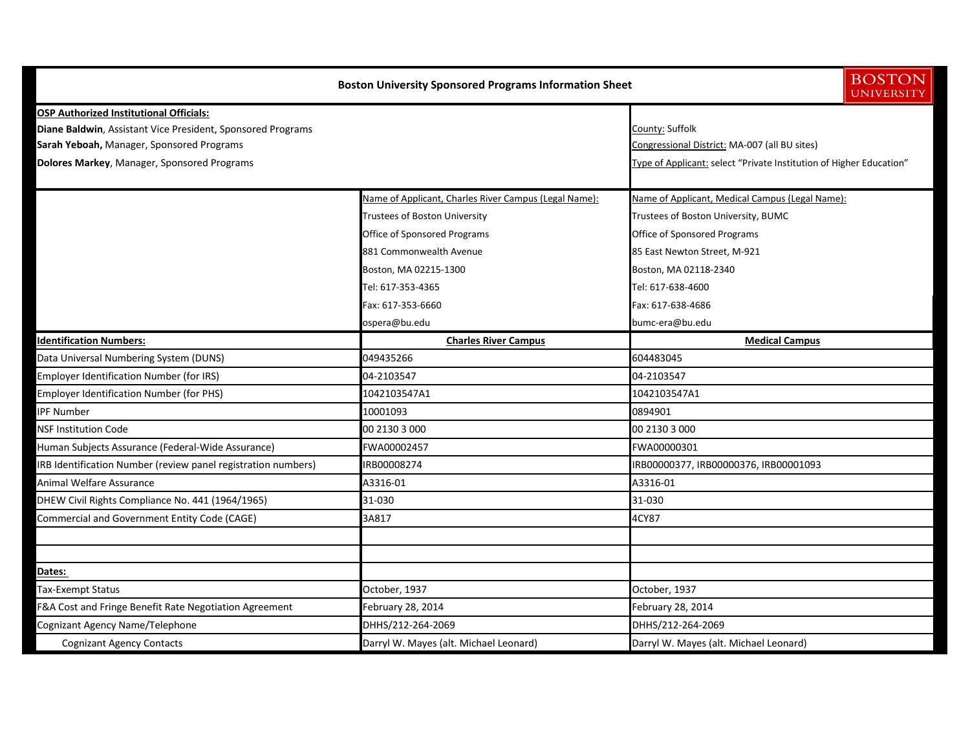|                                                               | <b>Boston University Sponsored Programs Information Sheet</b> | <b>BOSTON</b><br><b>UNIVERSITY</b>                                  |  |
|---------------------------------------------------------------|---------------------------------------------------------------|---------------------------------------------------------------------|--|
| <b>OSP Authorized Institutional Officials:</b>                |                                                               |                                                                     |  |
| Diane Baldwin, Assistant Vice President, Sponsored Programs   | County: Suffolk                                               |                                                                     |  |
| Sarah Yeboah, Manager, Sponsored Programs                     |                                                               | Congressional District: MA-007 (all BU sites)                       |  |
| Dolores Markey, Manager, Sponsored Programs                   |                                                               | Type of Applicant: select "Private Institution of Higher Education" |  |
|                                                               | Name of Applicant, Charles River Campus (Legal Name):         | Name of Applicant, Medical Campus (Legal Name):                     |  |
|                                                               | Trustees of Boston University                                 | Trustees of Boston University, BUMC                                 |  |
|                                                               | Office of Sponsored Programs                                  | Office of Sponsored Programs                                        |  |
|                                                               | 881 Commonwealth Avenue                                       | 85 East Newton Street, M-921                                        |  |
|                                                               | Boston, MA 02215-1300                                         | Boston, MA 02118-2340                                               |  |
|                                                               | Tel: 617-353-4365                                             | Tel: 617-638-4600                                                   |  |
|                                                               | Fax: 617-353-6660                                             | Fax: 617-638-4686                                                   |  |
|                                                               | ospera@bu.edu                                                 | bumc-era@bu.edu                                                     |  |
| <b>Identification Numbers:</b>                                | <b>Charles River Campus</b>                                   | <b>Medical Campus</b>                                               |  |
| Data Universal Numbering System (DUNS)                        | 049435266                                                     | 604483045                                                           |  |
| <b>Employer Identification Number (for IRS)</b>               | 04-2103547                                                    | 04-2103547                                                          |  |
| <b>Employer Identification Number (for PHS)</b>               | 1042103547A1                                                  | 1042103547A1                                                        |  |
| <b>PF Number</b>                                              | 10001093                                                      | 0894901                                                             |  |
| <b>NSF Institution Code</b>                                   | 00 2130 3 000                                                 | 00 2130 3 000                                                       |  |
| Human Subjects Assurance (Federal-Wide Assurance)             | FWA00002457                                                   | FWA00000301                                                         |  |
| IRB Identification Number (review panel registration numbers) | IRB00008274                                                   | IRB00000377, IRB00000376, IRB00001093                               |  |
| Animal Welfare Assurance                                      | A3316-01                                                      | A3316-01                                                            |  |
| DHEW Civil Rights Compliance No. 441 (1964/1965)              | 31-030                                                        | 31-030                                                              |  |
| Commercial and Government Entity Code (CAGE)                  | 3A817                                                         | 4CY87                                                               |  |
|                                                               |                                                               |                                                                     |  |
| Dates:                                                        |                                                               |                                                                     |  |
| Tax-Exempt Status                                             | October, 1937                                                 | October, 1937                                                       |  |
| F&A Cost and Fringe Benefit Rate Negotiation Agreement        | February 28, 2014                                             | February 28, 2014                                                   |  |
| Cognizant Agency Name/Telephone                               | DHHS/212-264-2069                                             | DHHS/212-264-2069                                                   |  |
| <b>Cognizant Agency Contacts</b>                              | Darryl W. Mayes (alt. Michael Leonard)                        | Darryl W. Mayes (alt. Michael Leonard)                              |  |